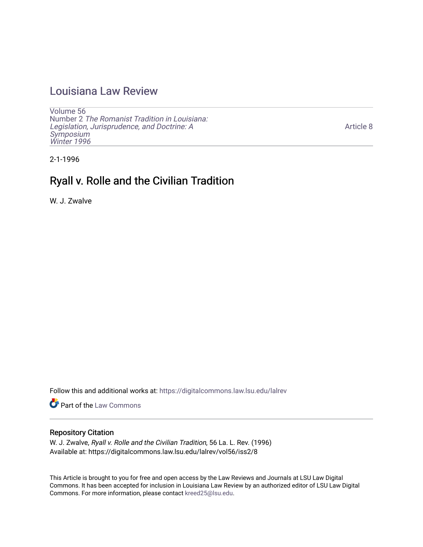## [Louisiana Law Review](https://digitalcommons.law.lsu.edu/lalrev)

[Volume 56](https://digitalcommons.law.lsu.edu/lalrev/vol56) Number 2 [The Romanist Tradition in Louisiana:](https://digitalcommons.law.lsu.edu/lalrev/vol56/iss2)  [Legislation, Jurisprudence, and Doctrine: A](https://digitalcommons.law.lsu.edu/lalrev/vol56/iss2)  [Symposium](https://digitalcommons.law.lsu.edu/lalrev/vol56/iss2)  [Winter 1996](https://digitalcommons.law.lsu.edu/lalrev/vol56/iss2)

[Article 8](https://digitalcommons.law.lsu.edu/lalrev/vol56/iss2/8) 

2-1-1996

# Ryall v. Rolle and the Civilian Tradition

W. J. Zwalve

Follow this and additional works at: [https://digitalcommons.law.lsu.edu/lalrev](https://digitalcommons.law.lsu.edu/lalrev?utm_source=digitalcommons.law.lsu.edu%2Flalrev%2Fvol56%2Fiss2%2F8&utm_medium=PDF&utm_campaign=PDFCoverPages)

Part of the [Law Commons](https://network.bepress.com/hgg/discipline/578?utm_source=digitalcommons.law.lsu.edu%2Flalrev%2Fvol56%2Fiss2%2F8&utm_medium=PDF&utm_campaign=PDFCoverPages)

### Repository Citation

W. J. Zwalve, Ryall v. Rolle and the Civilian Tradition, 56 La. L. Rev. (1996) Available at: https://digitalcommons.law.lsu.edu/lalrev/vol56/iss2/8

This Article is brought to you for free and open access by the Law Reviews and Journals at LSU Law Digital Commons. It has been accepted for inclusion in Louisiana Law Review by an authorized editor of LSU Law Digital Commons. For more information, please contact [kreed25@lsu.edu](mailto:kreed25@lsu.edu).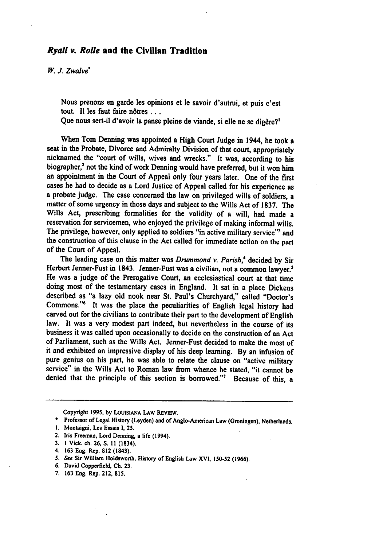#### *Ryall v. Rolle* **and the Civilian Tradition**

*W.J. Zwalve"* 

Nous prenons en garde les opinions et le savoir d'autrui, **et** puis c'est tout. Il les faut faire nôtres...

Que nous sert-il d'avoir la panse pleine de viande, si elle ne se digère?<sup>1</sup>

When Tom Denning was appointed a High Court Judge in 1944, he took a seat in the Probate, Divorce and Admiralty Division of that court, appropriately nicknamed the "court of wills, wives and wrecks." It was, according to his biographer,<sup>2</sup> not the kind of work Denning would have preferred, but it won him an appointment in the Court of Appeal only four years later. One of the first cases he had to decide as a Lord Justice of Appeal called for his experience as a probate judge. The case concerned the law on privileged wills of soldiers, a matter of some urgency in those days and subject to the Wills Act of **1837.** The Wills Act, prescribing formalities for the validity of a will, had made a reservation for servicemen, who enjoyed the privilege of making informal wills. The privilege, however, only applied to soldiers "in active military service"3 and the construction of this clause in the Act **called** for immediate action on the part of the Court of Appeal.

The leading case on this matter was *Drummond v. Parish,"*decided **by** Sir Herbert Jenner-Fust in 1843. Jenner-Fust was a civilian, not a common lawyer.<sup>5</sup> He was a judge of the Prerogative Court, an ecclesiastical court at that time doing most of the testamentary cases in England. It sat in a place Dickens described as "a lazy old nook near St. Paul's Churchyard," called "Doctor's Commons."6 It was the place the peculiarities of English legal history had carved out for the civilians to contribute their part to the development of English law. It was a very modest part indeed, but nevertheless in the course of its business it was called upon occasionally to decide on the construction of an Act of Parliament, such as the Wills Act. Jenner-Fust decided to make the most of it and exhibited an impressive display of his deep learning. **By** an infusion of pure genius on his part, he was able to relate the clause on "active military service" in the Wills Act to Roman law from whence he stated, "it cannot be denied that the principle of this section is borrowed."7 Because of this, a

Copyright **1995, by LOUISIANA LAW REVIEW.** 

**7. 163** Eng. Rep. 212, **815.** 

Professor of Legal History (Leyden) and of Anglo-American Law (Groningen), Netherlands.

**<sup>1.</sup>** Montaigni, Les Essais **1, 25.** 

<sup>2.</sup> Iris Freeman, Lord Denning, **a** life (1994).

**<sup>3. 1</sup>** Vick. ch. **26, S. 11** (1834).

<sup>4.</sup> **163** Eng. Rep. **812** (1843).

**<sup>5.</sup> See** Sir **William** Holdsworth, History of English Law XVI, **150-52 (1966).** 

**<sup>6.</sup>** David Copperfield, **Ch. 23.**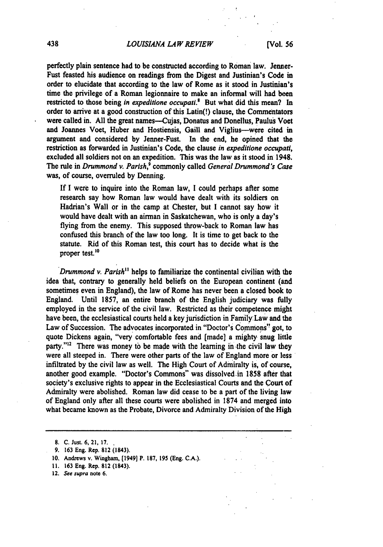#### *LOUISIANA LAW REVIEW* **[Vol. 56**

perfectly plain sentence had to be constructed according to Roman law. Jenner-Fust feasted his audience on readings from the Digest and Justinian's Code in order to elucidate that according to the law of Rome as it stood in Justinian's time the privilege of a Roman legionnaire to make an informal will had been restricted to those being *in expeditione occupati*.<sup>8</sup> But what did this mean? In order to arrive at a good construction of this Latin(!) clause, the Commentators were called in. **All** the great names--Cujas, Donatus and Donellus, Paulus Voet and Joannes Voet, Huber and Hostiensis, Gaill and Viglius-were cited in argument and considered **by** Jenner-Fust. In the end, he opined that the restriction as forwarded in Justinian's Code, the clause *in expeditlone occupall,*  excluded all soldiers not on an expedition. This was the law as it stood in 1948. The rule in *Drummond v. Parish*,<sup>9</sup> commonly called *General Drummond's Case* was, of course, overruled **by** Denning.

**If I** were to inquire into the Roman law, **I** could perhaps after some research say how Roman law would have dealt with its soldiers on Hadrian's Wall or in the camp at Chester, but **I** cannot say how it would have dealt with an airman in Saskatchewan, who is only a day's flying from the enemy. This supposed throw-back to Roman law has confused this branch of the law too long. It is time to get back to the statute. Rid of this Roman test, this court has to decide what is the proper test.<sup>10</sup>

Drummond *v. Parish"* helps to familiarize the continental civilian with the idea that, contrary to generally held beliefs on the European continent (and sometimes even in England), the law of Rome has never been a closed book to England. Until **1857,** an entire branch of the English judiciary was fully employed in the service of the civil law. Restricted as their competence might have been, the ecclesiastical courts held a key jurisdiction in Family.Law and the Law of Succession. The advocates incorporated in "Doctor's Commons" got, to quote Dickens again, "very comfortable fees and [made] a mighty snug little party." $12$  There was money to be made with the learning in the civil law they were all steeped in. There were other parts of the law of England more or less infiltrated **by** the civil law as well. The High Court of Admiralty is, of course, another good example. "Doctor's Commons" was [dissolved.in](https://dissolved.in) **1858** after that society's exclusive rights to appear in the Ecclesiastical Courts and the Court of Admiralty were abolished. Roman law did cease to be a part of the living law of England only after all these courts were abolished in **1874** and merged into what became known as the Probate, Divorce and Admiralty Division of the High

**8. C.** Just. **6,** 21, **17.** 

- **11. 163** Eng. Rep. 812 (1843).
- **12. See supra note 6.**

**<sup>9. 163</sup>** Eng. Rep. **812** (1843).

**<sup>10.</sup>** Andrews v. Wingharn, (1949] P. **187, 195** (Eng. **C.A.).**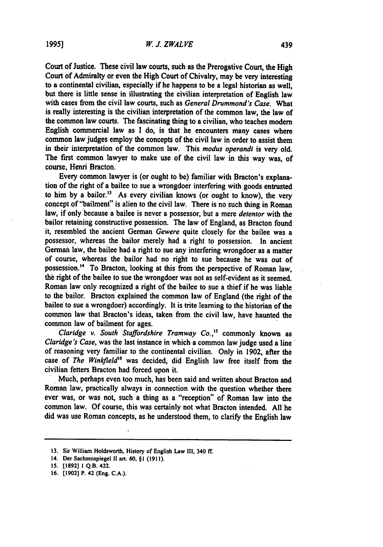Court of Justice. These civil law courts, such as the Prerogative Court, the High Court of Admiralty or even the High Court of Chivalry, may be very interesting to a continental civilian, especially if he happens to be a legal historian as well, but there is little sense in illustrating the civilian interpretation of English law with cases from the civil law courts, such as *General Drummond's Case*. What is really interesting is the civilian interpretation of the common law, the law of the common law courts. The fascinating thing to a civilian, who teaches modem English commercial law as **I** do, is that he encounters many cases where common law judges employ the concepts of the civil law in order to assist them in their interpretation of the common law. This modus operandi is very old. The first common lawyer to make use of the civil law in this way was, of course, Henri Bracton.

Every common lawyer is (or ought to be) familiar with Bracton's explanation of the right of a bailee to sue a wrongdoer interfering with goods entrusted to him by a bailor.<sup>13</sup> As every civilian knows (or ought to know), the very concept of "bailment" is alien to the civil law. There is no such thing in Roman law, if only because a bailee is never a possessor, but a mere *detentor* with the bailor retaining constructive possession. The law of England, as Bracton found it, resembled the ancient German Gewere quite closely for the bailee was a possessor, whereas the bailor merely had a right to possession. In ancient German law, the bailee had a right to sue any interfering wrongdoer as a matter of course, whereas the bailor had no right to sue because he was out of possession.<sup>14</sup> To Bracton, looking at this from the perspective of Roman law, the right of the bailee to sue the wrongdoer was not as self-evident as it seemed. Roman law only recognized a right of the bailee to sue a thief if he was liable to the bailor. Bracton explained the common law of England (the right of the bailee to sue a wrongdoer) accordingly. It is trite learning to the historian of the common law that Bracton's ideas, taken from the civil law, have haunted the common law of bailment for ages.

Claridge v. South Staffordshire Tramway Co.,<sup>15</sup> commonly known as Claridge's Case, was the last instance in which a common law judge used a line of reasoning very familiar to the continental civilian. Only in **1902,** after the case of The Winkfield<sup>16</sup> was decided, did English law free itself from the civilian fetters Bracton had forced upon it.

Much, perhaps even too much, has been said and written about Bracton and Roman law, practically always in connection with the question whether there ever was, or was not, such a thing as a "reception" of Roman law into the common law. **Of** course, this was certainly not what Bracton intended. **All** he did was use Roman concepts, as he understood them, to clarify the English law

<sup>13.</sup> Sir William Holdsworth, History of English Law III, 340 ff.

**<sup>14.</sup> Der Sachsenspiegel 1I art. 60, §1 (1911).** 

**<sup>15. (1892] 1</sup> Q.B. 422.** 

**<sup>16. [1902]</sup> P. 42 (Eng. C.A.).**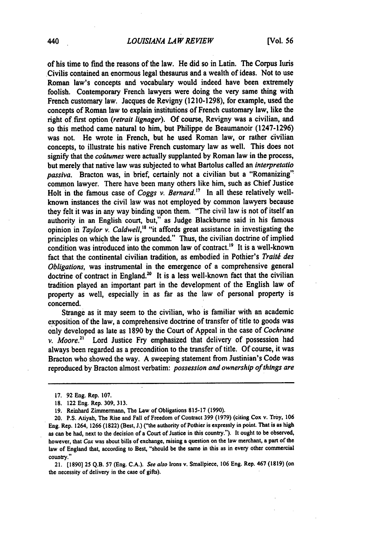#### *LOUISIANA LA W REVIEW* [Vol. **56**

of his time to find the reasons of the law. He did so in Latin. The Corpus luris Civilis contained an enormous legal thesaurus and a wealth of ideas. Not to use Roman law's concepts and vocabulary would indeed have been extremely foolish. Contemporary French lawyers were doing the very **same thing with**  French customary law. Jacques de Revigny **(1210-1298),** for example, used the concepts of Roman law to explain institutions of French customary law, like the right of first option *(retrait lignager)*. Of course, Revigny was a civilian, and so this method came natural to him, but Philippe de Beaumanoir **(1247-1296)**  was not. He wrote in French, but he used Roman law, or rather civilian concepts, to illustrate his native French customary law as well. This does not signify that the *costumes* were actually supplanted **by** Roman law in the process, but merely that native law was subjected to what Bartolus called an *interpretatio passiva.* Bracton was, in brief, certainly not a civilian but a "Romanizing" common lawyer. There have been many others like him, such as Chief Justice Holt in the famous case of *Coggs v. [Bernard.17](https://Bernard.17)* In all these relatively wellknown instances the civil law was not employed **by** common lawyers because they felt it was in any way binding upon them. "The civil law is not of itself an authority in an English court, but," as Judge Blackburne said in his famous opinion in *Taylor v. Caldwell*,<sup>18</sup> "it affords great assistance in investigating the principles on which the law is grounded." Thus, the civilian doctrine of implied condition was introduced into the common law of contract.<sup>19</sup> It is a well-known fact that the continental civilian tradition, as embodied in Pothier's Traité des *Obligations,* was instrumental in the emergence of a comprehensive general doctrine of contract in England.<sup>20</sup> It is a less well-known fact that the civilian tradition played an important part in the development of the English law of property as well, especially in as far as the law of personal property is concerned.

Strange as it may seem to the civilian, who is familiar with an academic exposition of the law, a comprehensive doctrine of transfer of title to goods was only developed as late as **1890 by** the Court of Appeal in the case of *Cochrane v. Moore.*<sup>21</sup> Lord Justice Fry emphasized that delivery of possession had always been regarded as a precondition to the transfer of title. **Of** course, it was Bracton who showed the way. **A** sweeping statement from Justinian's Code was reproduced **by** Bracton almost verbatim: *possession andownershipofthings are* 

**<sup>17. 92</sup>** Eng. Rep. **107.** 

**<sup>18.</sup>** 122 Eng. Rep. **309, 313.** 

**<sup>19.</sup>** Reinhard Zimmermann, The Law of Obligations **815-17 (1990).** 

<sup>20.</sup> **P.S.** Atiyah, The Rise and Fall of Freedom of Contract **399 (1979)** (citing Cox v. Troy, **106**  Eng. Rep. 1264, **1266 (1822)** (Best, **J.)** ("the authority of Pothier is expressly in point. That is as high as can **be** had, next to the decision of a Court of Justice in this country."). It ought to be observed, however, that *Cox* was about bills of exchange, raising a question on the law merchant, a part of the law of England that, according to Best, "should **be** the same in this as in every other commercial country."

<sup>21.</sup> **[1890] 25 Q.B. 57** (Eng. **C.A.).** See also Irons v. Smallpiece, **106** Eng. Rep. 467 **(1819)** (on the necessity of delivery in the case of gifts).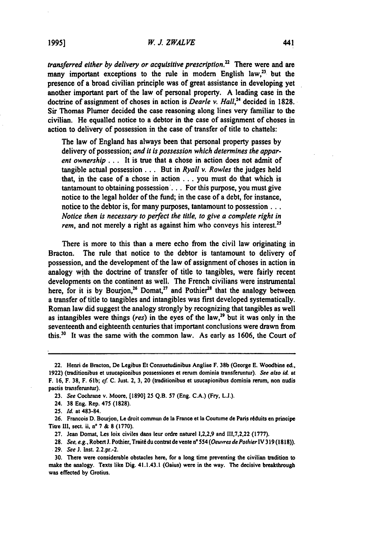transferred either by delivery or acquisitive prescription.<sup>22</sup> There were and are many important exceptions to the rule in modern English law, $^{23}$  but the presence of a broad civilian principle was of great assistance in developing yet another important part of the law of personal property. **A** leading case in the doctrine of assignment of choses in action is *Dearle v. Hall*,<sup>24</sup> decided in 1828. Sir Thomas Plumer decided the case reasoning along lines very familiar to the civilian. He equalled notice to a debtor in the case of assignment of choses in action to delivery of possession in the case of transfer of title to chattels:

The law of England has always been that personal property passes **by**  delivery of possession; and it is possession which determines the apparent ownership... It is true that a chose in action does not admit of tangible actual possession **...** But in Ryall v. Rowles the judges held that, in the case of a chose in action **...** you must do that which is tantamount to obtaining possession'... For this purpose, you must give notice to the legal holder of the fund; in the case of a debt, for instance, notice to the debtor is, for many purposes, tantamount to possession . . . Notice then is necessary to perfect the title, to give a complete right in *rem*, and not merely a right as against him who conveys his interest.<sup>25</sup>

There is more to this than a mere echo from the civil law originating in Bracton. The rule that notice to the debtor is tantamount to delivery of possession, and the development of the law of assignment of choses in action in analogy with the doctrine of transfer of title to tangibles, were fairly recent developments on the continent as well. The French civilians were instrumental here, for it is by Bourion,<sup>26</sup> Domat,<sup>27</sup> and Pothier<sup>28</sup> that the analogy between a transfer of title to tangibles and intangibles was first developed systematically. Roman law did suggest the analogy strongly **by** recognizing that tangibles as well as intangibles were things (res) in the eyes of the law,<sup>29</sup> but it was only in the seventeenth and eighteenth centuries that important conclusions were drawn from this.30 It was the same with the common law. As early as **1606,** the Court of

<sup>22.</sup> Henri **de** Bracton, **De** Legibus Et Consuetudinibus Angliae F.**38b** (George **E.**Woodbine **ed., 1922)** (traditionibus et usucapionibus possessiones et reim dominia transferuntur). **See also** *id.* **at**  F.**16,** F.**38,** F.**61b;** *cf.* **C.**Just. 2,**3,**20 (traditionibus et usucapionibus dominia **return,** non **nudis**  pactis trasferuntur).

**<sup>23.</sup>** See Cochrane v. Moore, **[1890] 25 Q.B. 57** (Eng. **C.A.)** (Fry, **L..).** 

<sup>24.</sup> **38 Eng.** Rep. 475 **(1828).** 

*<sup>25.</sup> Id.* at 483-84.

**<sup>26.</sup>** Francois **D.**Bourjon, Le droit commi de IaFrance et **Ia**Coutume **de Paris**rdduits eonprincipe Titre **111,** sect. ii, n' **7 & 8 (1770).** 

**<sup>27.</sup>** Jean Domat, Les loix civiles dans leur ordre naturel **1,2,2,9** and **111,7,2,22 (1777).** 

**<sup>28.</sup>** *See,* e.g., Robert *J.*Pothier, Trait6 du contratde vente *n° 554* (Oeuvresde PothierIV *319* **(1818)).** 

**<sup>29.</sup>** See **J.**Inst. 2.2.pr.-2.

**<sup>30.</sup>** There were considerable obstacles here, for a long time preventing the civilian tradition to make the analogy. Texts like Dig. 41.1.43.1 (Gaius) were in the way. The decisive breakthrough was effected **by** Grotius.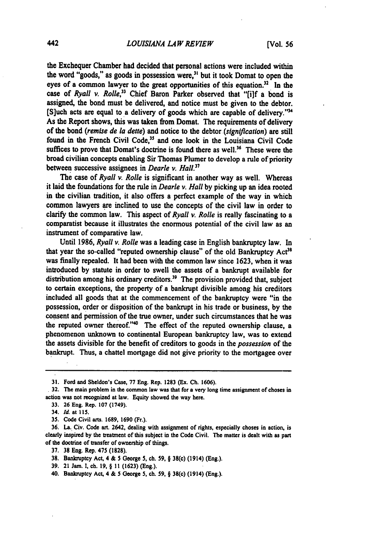the Exchequer Chamber had decided that personal actions were included within the word "goods," as goods in possession were, $3<sup>1</sup>$  but it took Domat to open the eves of a common lawyer to the great opportunities of this equation.<sup>32</sup> In the case of *Ryall v. Rolle*,<sup>33</sup> Chief Baron Parker observed that "filf a bond is assigned, the bond must be delivered, and notice must be given to the debtor. [S]uch acts are equal to a delivery of goods which are capable of delivery."' As the Report shows, this was taken from Domat. The requirements of delivery of the bond *(remisede* **la** *dette)* and notice to the debtor *(signiflcation)*are still found in the French Civil Code,<sup>35</sup> and one look in the Louisiana Civil Code suffices to prove that Domat's doctrine is found there as well.<sup>36</sup> These were the broad civilian concepts enabling Sir Thomas Plumer to develop a rule of priority between successive assignees in *Dearle v. Hall.*<sup>37</sup>

The case of *Ryall v. Rolle* is significant in another way as well. Whereas it laid the foundations for the rule in *Deariev. Hall***by** picking up an idea rooted in the civilian tradition, it also offers a perfect example of the way in which common lawyers are inclined to use the concepts of the civil law in order to clarify the common law. This aspect of *Ryall v. Rolle* is really fascinating to a comparatist because it illustrates the enormous potential of the civil law as an instrument of comparative law.

Until **1986,** *Ryall v. Rolle* was a leading case in English bankruptcy law. In that year the so-called "reputed ownership clause" of the old Bankruptcy Act<sup>38</sup> was finally repealed. It had been with the common law since **1623,** when it was introduced **by** statute in order to swell the assets of a bankrupt available for distribution among his ordinary creditors.<sup>39</sup> The provision provided that, subject to certain exceptions, the property of a bankrupt divisible among his creditors included all goods that at the commencement of the bankruptcy were "in the possession, order or disposition of the bankrupt in his trade or business, **by** the consent and permission of the true owner, under such circumstances that he was the reputed owner thereof."<sup>40</sup> The effect of the reputed ownership clause, a phenomenon unknown to continental European bankruptcy law, was to extend the assets divisible for the benefit of creditors to goods in the *possession* of the bankrupt. Thus, a chattel mortgage did not give priority to the mortgagee over

- **39.** 21 Jam. **1,** ch. **19,** § **11 (1623)** (Eng.).
- 40. Bankruptcy Act, 4 & 5 George **5,** ch. **59,** § 38(c) (1914) (Eng.).

**<sup>31.</sup>** Ford and Sheldon's Case, **77** Eng. Rep. **1283** (Ex. **Ch. 1606).** 

**<sup>32.</sup> The** main problem in the common law was that for **a** very long time assignment of choses in action was not recognized at law. Equity showed the way here.

**<sup>33. 26</sup>** Eng. Rep. **107** (1749).

<sup>34.</sup> *Id.* at **115.** 

**<sup>35.</sup>** Code Civil arts. **1689, 1690** (Fr.).

**<sup>36.</sup>** La. Civ. Code art. 2642, dealing with assignment of rights, especially choses in action, is clearly inspired **by** the treatment of this subject in the Code Civil. The matter is dealt with as part of **the** doctrine of transfer of ownership of things.

**<sup>37. 38</sup>** Eng. Rep. 475 **(1828).** 

**<sup>38.</sup>** Bankruptcy Act, 4 & **5** George **5,** ch. **59,** § 38(c) (1914) (Eng.).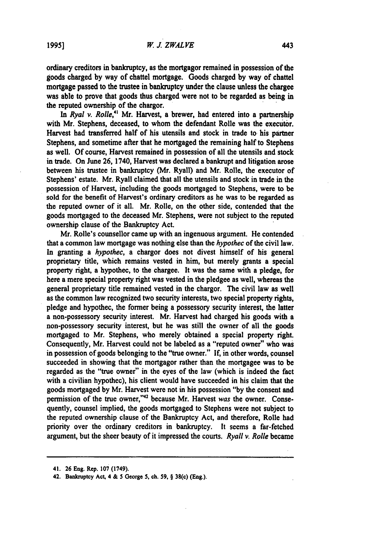ordinary creditors in bankruptcy, as the mortgagor remained in possession of the goods charged **by** way of chattel mortgage. Goods charged **by** way of chattel mortgage passed to the trustee in bankruptcy under the clause unless the chargee was able to prove that goods thus charged were not to be regarded as being in the reputed ownership of the chargor.

*In Ryal v. Rolle,"* Mr. Harvest, a brewer, had entered into a partnership with Mr. Stephens, deceased, to whom the defendant Rolle was the executor. Harvest had transferred half of his utensils and stock in trade to his partner Stephens, and sometime after that he mortgaged the remaining half to Stephens as well. **Of** course, Harvest remained in possession of all the utensils and stock in trade. On June **26,** 1740, Harvest was-declared a bankrupt and litigation arose between his trustee in bankruptcy (Mr. Ryall) and Mr. Rolle, the executor of Stephens' estate. Mr. Ryall claimed that all the utensils and stock in trade in the possession of Harvest, including the goods mortgaged to Stephens, were to be sold for the benefit of Harvest's ordinary creditors as he was to be regarded as the reputed owner of it all. Mr. Rolle, on the other side, contended that the goods mortgaged to the deceased Mr. Stephens, were not subject to the reputed ownership clause of the Bankruptcy Act.

Mr. Rolle's counsellor came up with an ingenuous argument. He contended that a common law mortgage was nothing else than the *hypothec* of the civil law. In granting a *hypothec,* a chargor does not divest himself of his general proprietary title, which remains vested in him, but merely grants a special property right, a hypothec, to the chargee. It was the same with a pledge, for here a mere special property right was vested in the pledgee as well, whereas the general proprietary title remained vested in the chargor. The civil law as well as the common law recognized two security interests, two special property rights, pledge and hypothec, the former being a possessory security interest, the latter a non-possessory security interest. Mr. Harvest had charged his goods with a non-possessory security interest, but he was still the owner of all the goods mortgaged to Mr. Stephens, who merely obtained a special property right. Consequently, Mr. Harvest could not be labeled as a "reputed owner" who was in possession of goods belonging to the "true owner." **If,** in other words, counsel succeeded in showing that the mortgagor rather than the mortgagee was to be regarded as the "true owner" in the eyes of the law (which is indeed the fact with a civilian hypothec), his client would have succeeded in his claim that the goods mortgaged **by** Mr. Harvest were not in his possession **"by** the consent and permission of the true owner,"42 because Mr. Harvest *was* the owner. Consequently, counsel implied, the goods mortgaged to Stephens were not subject to the reputed ownership clause of the Bankruptcy Act, and therefore, Rolle had priority over the ordinary creditors in bankruptcy. It seems a far-fetched argument, but the sheer beauty of it impressed the courts. *Ryall v. Rolle* became

<sup>41.</sup> **26** Eng. Rep. **107** (1749).

<sup>42.</sup> **Bankruptcy Act,** 4 & **5** George **5,** ch. **59,** § 38(c) (Eng.).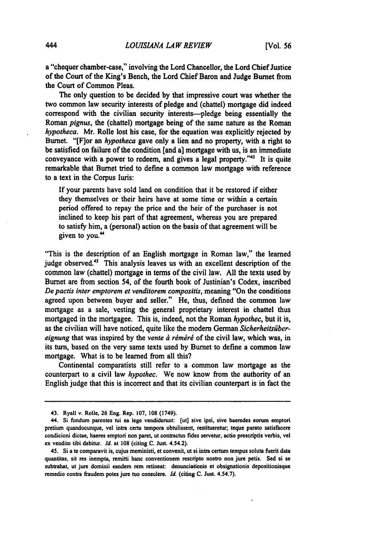a "chequer chamber-case," involving the Lord Chancellor, the Lord Chief Justice of the Court of the King's Bench, the Lord Chief Baron and Judge Burnet from the Court of Common Pleas.

The only question to be decided **by** that impressive court was whether the two common law security interests of pledge and (chattel) mortgage did indeed correspond with the civilian security interests-pledge being essentially the Roman *pignus,* the (chattel) mortgage being of the same nature as the Roman *hypotheca.* Mr. Rolle lost his case, for the equation was explicitly rejected **by**  Burnet. "[Flor an *hypotheca* gave only a lien and no property, with a right to be satisfied on failure of the condition [and a] mortgage with us, is an immediate conveyance with a power to redeem, and gives a legal property." $43$  It is quite remarkable that Burnet tried to define a common law mortgage with reference to a text in the Corpus Iuris:

**If** your parents have sold land on condition that it be restored if either they themselves or their heirs have at some time or within a certain period offered to repay the price and the heir of the purchaser is not inclined to keep his part of that agreement, whereas you are prepared to satisfy him, a (personal) action on the basis of that agreement will be given to you.<sup>44</sup>

"This is the description of an English mortgage in Roman law," the learned judge observed.<sup>45</sup> This analysis leaves us with an excellent description of the common law (chattel) mortgage in terms of the civil law. **All** the texts used **by**  Burnet are from section 54, of the fourth book of Justinian's Codex, inscribed De pactis inter emptorem et venditorem compositis, meaning "On the conditions agreed upon between buyer and seller." He, thus, defined the common law mortgage as a sale, vesting the general proprietary interest in chattel thus mortgaged in the mortgagee. This is, indeed, not the Roman hypothec, but it is, as the civilian will have noticed, quite like the modern German *Sicherheitsibereignung* that was inspired by the *vente à réméré* of the civil law, which was, in its turn, based on the very same texts used **by** Burnet to define a common law mortgage. What is to be learned from all this?

Continental comparatists still refer to a common law mortgage as the counterpart to a civil law *hypothec.* We now know from the authority of an English judge that this is incorrect and that its civilian counterpart is in fact the

<sup>43.</sup> Ryall v. Rolle, **26** Eng. Rep. **107, 108** (1749).

<sup>44.</sup> Si **findum** parentes **tui** ea **lege** vendiderunt: **(ut]** sive ipsi, sive hacredes **corum** emptori pretium quandocunque, **vel** intra certa tempora obtulissent, restitueretur; teque parato satisfacere condicioni dictae, haeres emptori non paret, **ut contractus** fides servetur, actio prescriptis verbis, **vel**  ex vendito tibi dabitur. *Id.* at **108** (citing **C.** Just. 4.54.2).

<sup>45.</sup> Si a te comparavit is, cujus meministi, et convenit, ut **si**intra **certum** temps soluta fuerit data quantitas, sit res inempta, remitti **hanc** conventionem rescripto nostro non jure petis. Sed **si**se subtrahat, ut jure dominii eandem rem retineat: denunciationis et obsignationis depositionisque remedio contra fraudem potes jure tuo consulere. *Id.* (citing **C.** Just. **4.54.7).**